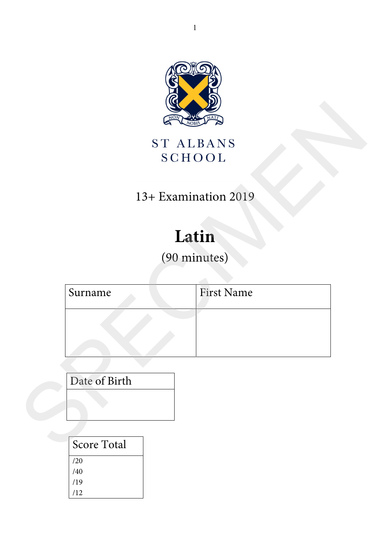

## 13+ Examination 2019

# **Latin**

## (90 minutes)

|               | <b>VORI</b>                |
|---------------|----------------------------|
|               | ST ALBANS<br><b>SCHOOL</b> |
|               | 13+ Examination 2019       |
|               | Latin                      |
|               | (90 minutes)               |
| Surname       | <b>First Name</b>          |
|               |                            |
|               |                            |
| Date of Birth |                            |
|               |                            |
| Score Total   |                            |

| Score Total |  |
|-------------|--|
| /20         |  |
| /40         |  |
| /19         |  |
| /12         |  |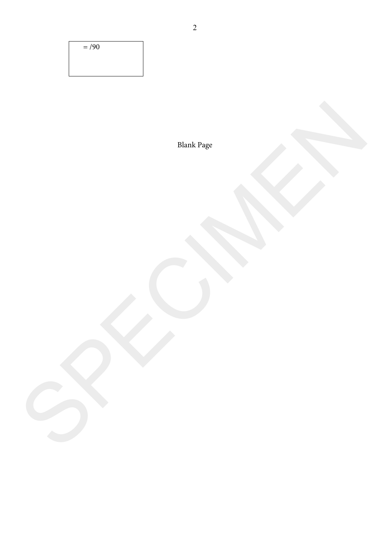$= 190$ 

Blank Page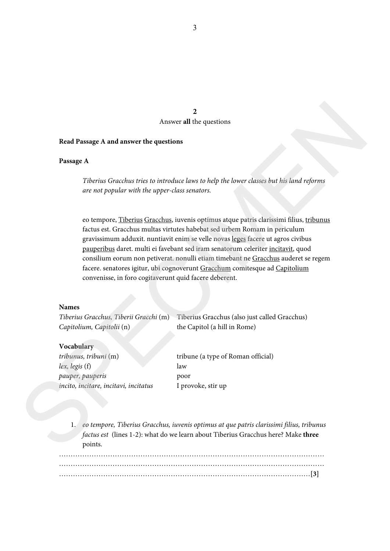#### **2**  Answer **all** the questions

#### **Read Passage A and answer the questions**

#### **Passage A**

*Tiberius Gracchus tries to introduce laws to help the lower classes but his land reforms are not popular with the upper-class senators.* 

eo tempore, Tiberius Gracchus, iuvenis optimus atque patris clarissimi filius, tribunus factus est. Gracchus multas virtutes habebat sed urbem Romam in periculum gravissimum adduxit. nuntiavit enim se velle novas leges facere ut agros civibus pauperibus daret. multi ei favebant sed iram senatorum celeriter incitavit, quod consilium eorum non petiverat. nonulli etiam timebant ne Gracchus auderet se regem facere. senatores igitur, ubi cognoverunt Gracchum comitesque ad Capitolium convenisse, in foro cogitaverunt quid facere deberent. Amover all the questions<br> **Passage A**<br> **Effective Grocolous (note to indications laws to help the lower clauses bet his boad reforms<br>
one can be polon with the apper-class series of the lower clauses bet his boad reforms<br>** 

#### **Names**

**Vocabulary** 

|                           | Tiberius Gracchus, Tiberii Gracchi (m) Tiberius Gracchus (also just called Gracchus) |
|---------------------------|--------------------------------------------------------------------------------------|
| Capitolium, Capitolii (n) | the Capitol (a hill in Rome)                                                         |
|                           |                                                                                      |

| tribunus, tribuni (m)                 | tribune (a type of Roman official) |
|---------------------------------------|------------------------------------|
| lex, legis (f)                        | law                                |
| pauper, pauperis                      | poor                               |
| incito, incitare, incitavi, incitatus | I provoke, stir up                 |
|                                       |                                    |

1. *eo tempore, Tiberius Gracchus, iuvenis optimus at que patris clarissimi filius, tribunus factus est* (lines 1-2): what do we learn about Tiberius Gracchus here? Make **three** points. ……………………………………………………………………………………………………

………………………………………………………………………………………………**[3]**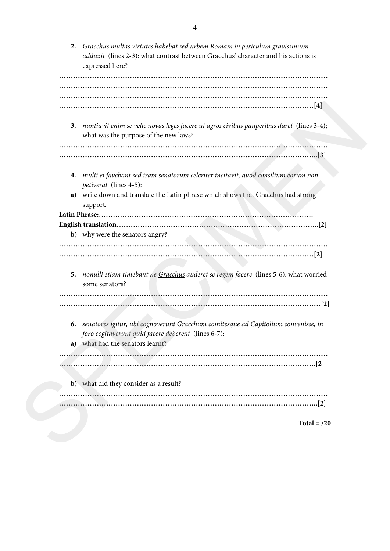|    | 2. Gracchus multas virtutes habebat sed urbem Romam in periculum gravissimum<br>adduxit (lines 2-3): what contrast between Gracchus' character and his actions is |
|----|-------------------------------------------------------------------------------------------------------------------------------------------------------------------|
|    | expressed here?                                                                                                                                                   |
|    |                                                                                                                                                                   |
|    |                                                                                                                                                                   |
|    |                                                                                                                                                                   |
|    |                                                                                                                                                                   |
|    | 3. nuntiavit enim se velle novas leges facere ut agros civibus pauperibus daret (lines 3-4);                                                                      |
|    | what was the purpose of the new laws?                                                                                                                             |
|    |                                                                                                                                                                   |
|    |                                                                                                                                                                   |
|    |                                                                                                                                                                   |
|    | 4. multi ei favebant sed iram senatorum celeriter incitavit, quod consilium eorum non                                                                             |
|    | petiverat (lines 4-5):                                                                                                                                            |
| a) | write down and translate the Latin phrase which shows that Gracchus had strong                                                                                    |
|    | support.                                                                                                                                                          |
|    |                                                                                                                                                                   |
|    |                                                                                                                                                                   |
|    | b) why were the senators angry?                                                                                                                                   |
|    |                                                                                                                                                                   |
|    |                                                                                                                                                                   |
|    |                                                                                                                                                                   |
|    | 5. nonulli etiam timebant ne Gracchus auderet se regem facere (lines 5-6): what worried                                                                           |
|    | some senators?                                                                                                                                                    |
|    |                                                                                                                                                                   |
|    |                                                                                                                                                                   |
|    |                                                                                                                                                                   |
|    | 6. senatores igitur, ubi cognoverunt Gracchum comitesque ad Capitolium convenisse, in                                                                             |
|    | foro cogitaverunt quid facere deberent (lines 6-7):                                                                                                               |
|    | a) what had the senators learnt?                                                                                                                                  |
|    |                                                                                                                                                                   |
|    |                                                                                                                                                                   |
|    | b) what did they consider as a result?                                                                                                                            |
|    |                                                                                                                                                                   |
|    |                                                                                                                                                                   |
|    |                                                                                                                                                                   |
|    | Total = $/20$                                                                                                                                                     |
|    |                                                                                                                                                                   |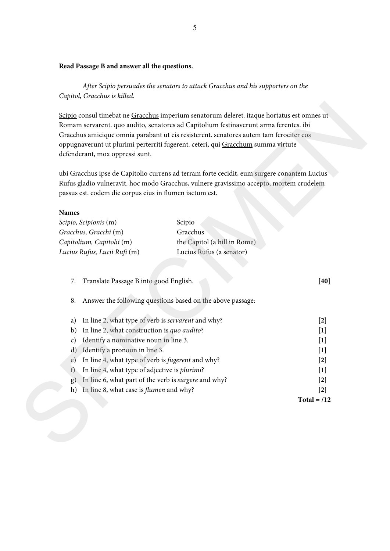#### **Read Passage B and answer all the questions.**

 *After Scipio persuades the senators to attack Gracchus and his supporters on the Capitol, Gracchus is killed.* 

|                 | defenderant, mox oppressi sunt.                           | Gracchus amicique omnia parabant ut eis resisterent. senatores autem tam ferociter eos<br>oppugnaverunt ut plurimi perterriti fugerent. ceteri, qui Gracchum summa virtute             |                        |
|-----------------|-----------------------------------------------------------|----------------------------------------------------------------------------------------------------------------------------------------------------------------------------------------|------------------------|
|                 | passus est. eodem die corpus eius in flumen iactum est.   | ubi Gracchus ipse de Capitolio currens ad terram forte cecidit, eum surgere conantem Lucius<br>Rufus gladio vulneravit. hoc modo Gracchus, vulnere gravissimo accepto, mortem crudelem |                        |
| <b>Names</b>    |                                                           |                                                                                                                                                                                        |                        |
|                 | Scipio, Scipionis (m)                                     | Scipio                                                                                                                                                                                 |                        |
|                 | Gracchus, Gracchi (m)                                     | Gracchus                                                                                                                                                                               |                        |
|                 | Capitolium, Capitolii (m)<br>Lucius Rufus, Lucii Rufi (m) | the Capitol (a hill in Rome)<br>Lucius Rufus (a senator)                                                                                                                               |                        |
| 7.              | Translate Passage B into good English.                    |                                                                                                                                                                                        | $[40]$                 |
| 8.              |                                                           | Answer the following questions based on the above passage:                                                                                                                             |                        |
| a)              | In line 2, what type of verb is servarent and why?        |                                                                                                                                                                                        | $[2]$                  |
| b)              | In line 2, what construction is quo audito?               |                                                                                                                                                                                        | $[1]$                  |
| $\mathcal{C}$ ) | Identify a nominative noun in line 3.                     |                                                                                                                                                                                        | $[1]$                  |
|                 | d) Identify a pronoun in line 3.                          |                                                                                                                                                                                        | $[1]$                  |
| e)              | In line 4, what type of verb is <i>fugerent</i> and why?  |                                                                                                                                                                                        | $[2]$                  |
| f               | In line 4, what type of adjective is plurimi?             |                                                                                                                                                                                        | $[1]$                  |
| g)              | In line 6, what part of the verb is surgere and why?      |                                                                                                                                                                                        | $[2]$                  |
| h)              | In line 8, what case is <i>flumen</i> and why?            |                                                                                                                                                                                        | $[2]$<br>$Total = /12$ |
|                 |                                                           |                                                                                                                                                                                        |                        |